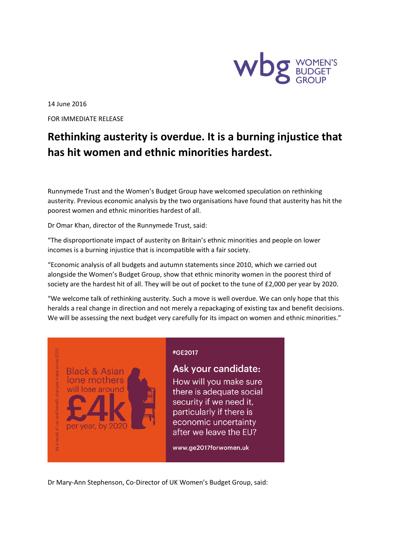

14 June 2016 FOR IMMEDIATE RELEASE

## **Rethinking austerity is overdue. It is a burning injustice that has hit women and ethnic minorities hardest.**

Runnymede Trust and the Women's Budget Group have welcomed speculation on rethinking austerity. Previous economic analysis by the two organisations have found that austerity has hit the poorest women and ethnic minorities hardest of all.

Dr Omar Khan, director of the Runnymede Trust, said:

**Black & Asian** lone mothers

will lose around

per year, by 2020

"The disproportionate impact of austerity on Britain's ethnic minorities and people on lower incomes is a burning injustice that is incompatible with a fair society.

"Economic analysis of all budgets and autumn statements since 2010, which we carried out alongside the Women's Budget Group, show that ethnic minority women in the poorest third of society are the hardest hit of all. They will be out of pocket to the tune of £2,000 per year by 2020.

"We welcome talk of rethinking austerity. Such a move is well overdue. We can only hope that this heralds a real change in direction and not merely a repackaging of existing tax and benefit decisions. We will be assessing the next budget very carefully for its impact on women and ethnic minorities."

## #GE2017

## Ask your candidate:

How will you make sure there is adequate social security if we need it, particularly if there is economic uncertainty after we leave the EU?

www.ge2017forwomen.uk

Dr Mary-Ann Stephenson, Co-Director of UK Women's Budget Group, said: